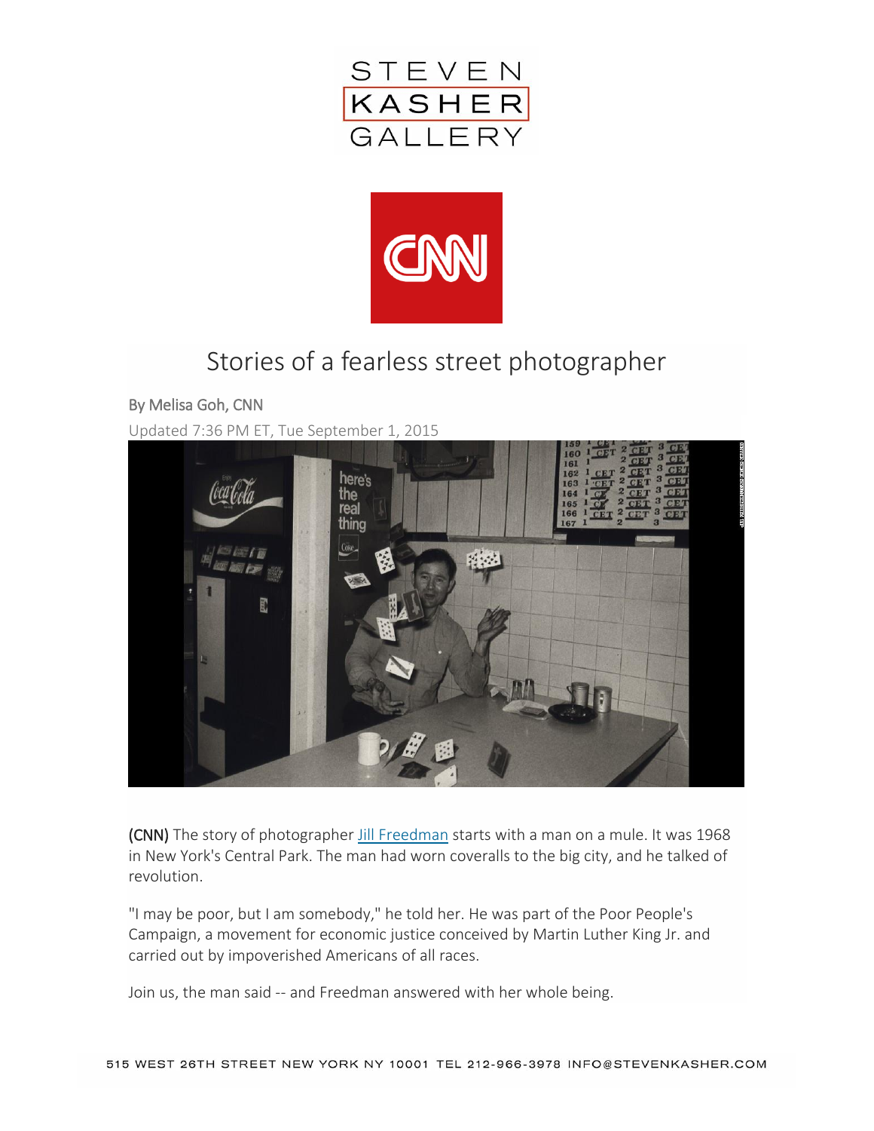



## Stories of a fearless street photographer

By Melisa Goh, CNN

Updated 7:36 PM ET, Tue September 1, 2015



(CNN) The story of photographer [Jill Freedman](http://www.jillfreedman.com/) starts with a man on a mule. It was 1968 in New York's Central Park. The man had worn coveralls to the big city, and he talked of revolution.

"I may be poor, but I am somebody," he told her. He was part of the Poor People's Campaign, a movement for economic justice conceived by Martin Luther King Jr. and carried out by impoverished Americans of all races.

Join us, the man said -- and Freedman answered with her whole being.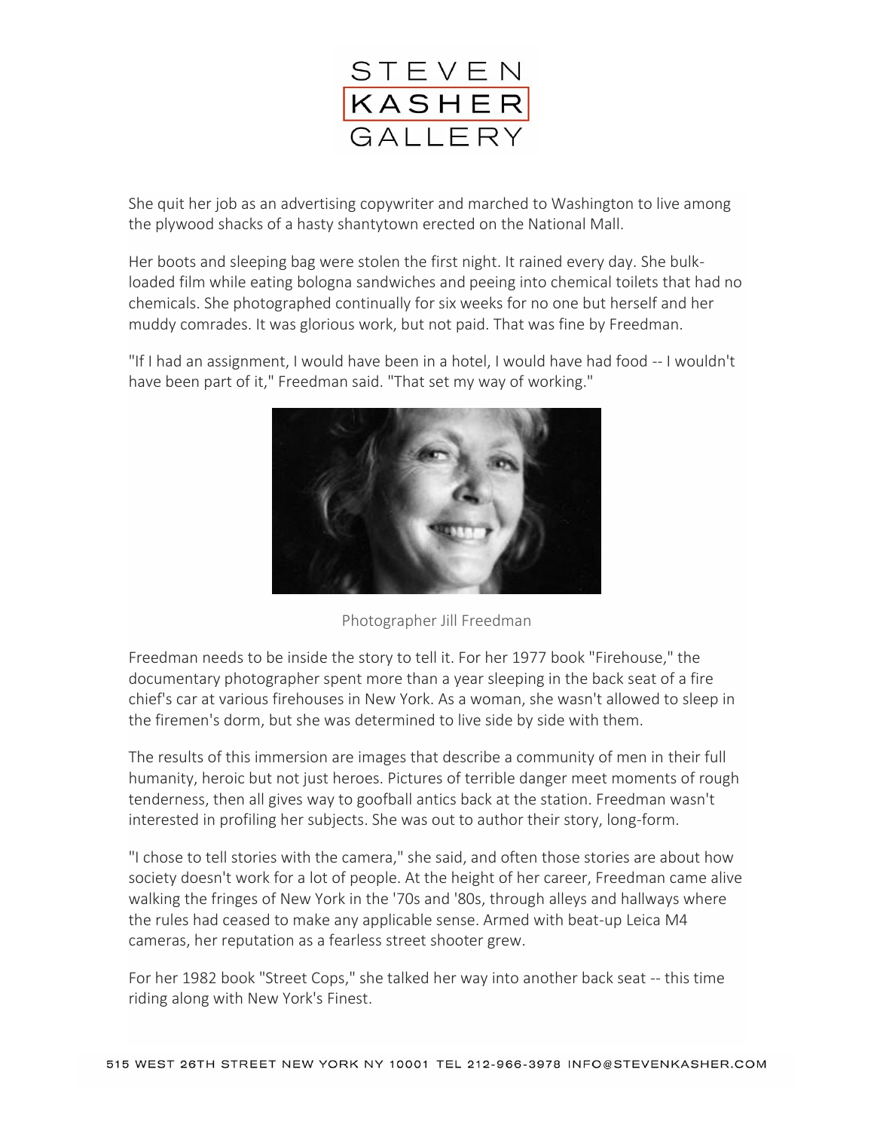

She quit her job as an advertising copywriter and marched to Washington to live among the plywood shacks of a hasty shantytown erected on the National Mall.

Her boots and sleeping bag were stolen the first night. It rained every day. She bulkloaded film while eating bologna sandwiches and peeing into chemical toilets that had no chemicals. She photographed continually for six weeks for no one but herself and her muddy comrades. It was glorious work, but not paid. That was fine by Freedman.

"If I had an assignment, I would have been in a hotel, I would have had food -- I wouldn't have been part of it," Freedman said. "That set my way of working."



Photographer Jill Freedman

Freedman needs to be inside the story to tell it. For her 1977 book "Firehouse," the documentary photographer spent more than a year sleeping in the back seat of a fire chief's car at various firehouses in New York. As a woman, she wasn't allowed to sleep in the firemen's dorm, but she was determined to live side by side with them.

The results of this immersion are images that describe a community of men in their full humanity, heroic but not just heroes. Pictures of terrible danger meet moments of rough tenderness, then all gives way to goofball antics back at the station. Freedman wasn't interested in profiling her subjects. She was out to author their story, long-form.

"I chose to tell stories with the camera," she said, and often those stories are about how society doesn't work for a lot of people. At the height of her career, Freedman came alive walking the fringes of New York in the '70s and '80s, through alleys and hallways where the rules had ceased to make any applicable sense. Armed with beat-up Leica M4 cameras, her reputation as a fearless street shooter grew.

For her 1982 book "Street Cops," she talked her way into another back seat -- this time riding along with New York's Finest.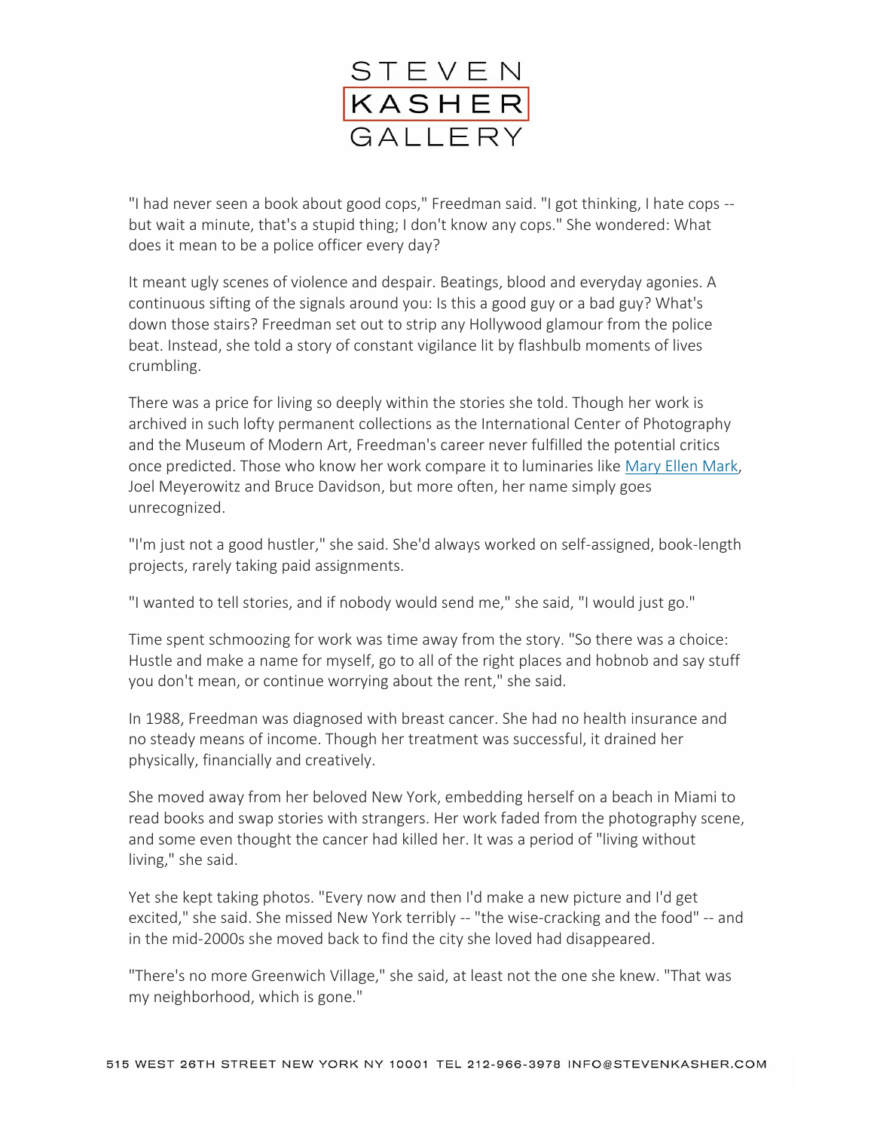

"I had never seen a book about good cops," Freedman said. "I got thinking, I hate cops - but wait a minute, that's a stupid thing; I don't know any cops." She wondered: What does it mean to be a police officer every day?

It meant ugly scenes of violence and despair. Beatings, blood and everyday agonies. A continuous sifting of the signals around you: Is this a good guy or a bad guy? What's down those stairs? Freedman set out to strip any Hollywood glamour from the police beat. Instead, she told a story of constant vigilance lit by flashbulb moments of lives crumbling.

There was a price for living so deeply within the stories she told. Though her work is archived in such lofty permanent collections as the International Center of Photography and the Museum of Modern Art, Freedman's career never fulfilled the potential critics once predicted. Those who know her work compare it to luminaries like [Mary Ellen Mark,](http://money.cnn.com/2015/05/27/news/mary-ellen-mark-photographer-new-orleans-cnn/) Joel Meyerowitz and Bruce Davidson, but more often, her name simply goes unrecognized.

"I'm just not a good hustler," she said. She'd always worked on self-assigned, book-length projects, rarely taking paid assignments.

"I wanted to tell stories, and if nobody would send me," she said, "I would just go."

Time spent schmoozing for work was time away from the story. "So there was a choice: Hustle and make a name for myself, go to all of the right places and hobnob and say stuff you don't mean, or continue worrying about the rent," she said.

In 1988, Freedman was diagnosed with breast cancer. She had no health insurance and no steady means of income. Though her treatment was successful, it drained her physically, financially and creatively.

She moved away from her beloved New York, embedding herself on a beach in Miami to read books and swap stories with strangers. Her work faded from the photography scene, and some even thought the cancer had killed her. It was a period of "living without living," she said.

Yet she kept taking photos. "Every now and then I'd make a new picture and I'd get excited," she said. She missed New York terribly -- "the wise-cracking and the food" -- and in the mid-2000s she moved back to find the city she loved had disappeared.

"There's no more Greenwich Village," she said, at least not the one she knew. "That was my neighborhood, which is gone."